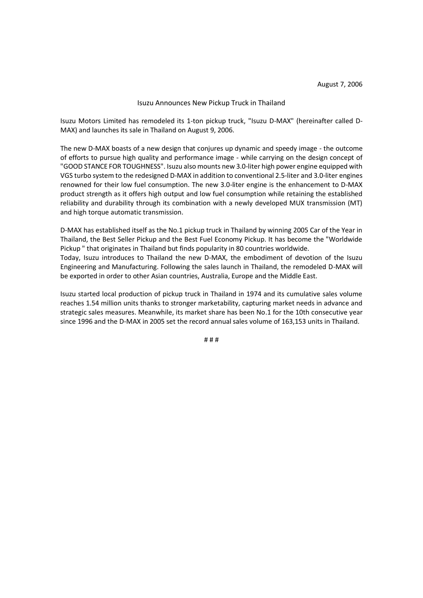## Isuzu Announces New Pickup Truck in Thailand

Isuzu Motors Limited has remodeled its 1-ton pickup truck, "Isuzu D-MAX" (hereinafter called D-MAX) and launches its sale in Thailand on August 9, 2006.

The new D-MAX boasts of a new design that conjures up dynamic and speedy image - the outcome of efforts to pursue high quality and performance image - while carrying on the design concept of "GOOD STANCE FOR TOUGHNESS". Isuzu also mounts new 3.0-liter high power engine equipped with VGS turbo system to the redesigned D-MAX in addition to conventional 2.5-liter and 3.0-liter engines renowned for their low fuel consumption. The new 3.0-liter engine is the enhancement to D-MAX product strength as it offers high output and low fuel consumption while retaining the established reliability and durability through its combination with a newly developed MUX transmission (MT) and high torque automatic transmission.

D-MAX has established itself as the No.1 pickup truck in Thailand by winning 2005 Car of the Year in Thailand, the Best Seller Pickup and the Best Fuel Economy Pickup. It has become the "Worldwide Pickup " that originates in Thailand but finds popularity in 80 countries worldwide. Today, Isuzu introduces to Thailand the new D-MAX, the embodiment of devotion of the Isuzu Engineering and Manufacturing. Following the sales launch in Thailand, the remodeled D-MAX will be exported in order to other Asian countries, Australia, Europe and the Middle East.

Isuzu started local production of pickup truck in Thailand in 1974 and its cumulative sales volume reaches 1.54 million units thanks to stronger marketability, capturing market needs in advance and strategic sales measures. Meanwhile, its market share has been No.1 for the 10th consecutive year since 1996 and the D-MAX in 2005 set the record annual sales volume of 163,153 units in Thailand.

# # #